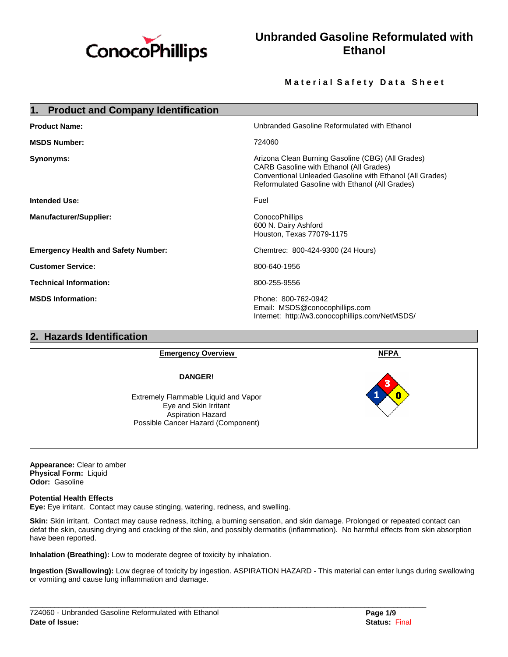

# **Unbranded Gasoline Reformulated with Ethanol**

## **Material Safety Data Sheet**

| <b>Product and Company Identification</b><br>1. |                                                                                                                                                                                                                    |  |
|-------------------------------------------------|--------------------------------------------------------------------------------------------------------------------------------------------------------------------------------------------------------------------|--|
| <b>Product Name:</b>                            | Unbranded Gasoline Reformulated with Ethanol                                                                                                                                                                       |  |
| <b>MSDS Number:</b>                             | 724060                                                                                                                                                                                                             |  |
| Synonyms:                                       | Arizona Clean Burning Gasoline (CBG) (All Grades)<br><b>CARB Gasoline with Ethanol (All Grades)</b><br>Conventional Unleaded Gasoline with Ethanol (All Grades)<br>Reformulated Gasoline with Ethanol (All Grades) |  |
| <b>Intended Use:</b>                            | Fuel                                                                                                                                                                                                               |  |
| <b>Manufacturer/Supplier:</b>                   | <b>ConocoPhillips</b><br>600 N. Dairy Ashford<br>Houston, Texas 77079-1175                                                                                                                                         |  |
| <b>Emergency Health and Safety Number:</b>      | Chemtrec: 800-424-9300 (24 Hours)                                                                                                                                                                                  |  |
| <b>Customer Service:</b>                        | 800-640-1956                                                                                                                                                                                                       |  |
| <b>Technical Information:</b>                   | 800-255-9556                                                                                                                                                                                                       |  |
| <b>MSDS Information:</b>                        | Phone: 800-762-0942<br>Email: MSDS@conocophillips.com<br>Internet: http://w3.conocophillips.com/NetMSDS/                                                                                                           |  |

## **2. Hazards Identification**

| <b>Emergency Overview</b>                                                                                                | <b>NFPA</b> |
|--------------------------------------------------------------------------------------------------------------------------|-------------|
| <b>DANGER!</b>                                                                                                           | 3           |
| Extremely Flammable Liquid and Vapor<br>Eye and Skin Irritant<br>Aspiration Hazard<br>Possible Cancer Hazard (Component) | П           |

**Appearance:** Clear to amber **Physical Form:** Liquid **Odor:** Gasoline

#### **Potential Health Effects**

**Eye:** Eye irritant. Contact may cause stinging, watering, redness, and swelling.

**Skin:** Skin irritant. Contact may cause redness, itching, a burning sensation, and skin damage. Prolonged or repeated contact can defat the skin, causing drying and cracking of the skin, and possibly dermatitis (inflammation). No harmful effects from skin absorption have been reported.

**Inhalation (Breathing):** Low to moderate degree of toxicity by inhalation.

**Ingestion (Swallowing):** Low degree of toxicity by ingestion. ASPIRATION HAZARD - This material can enter lungs during swallowing or vomiting and cause lung inflammation and damage.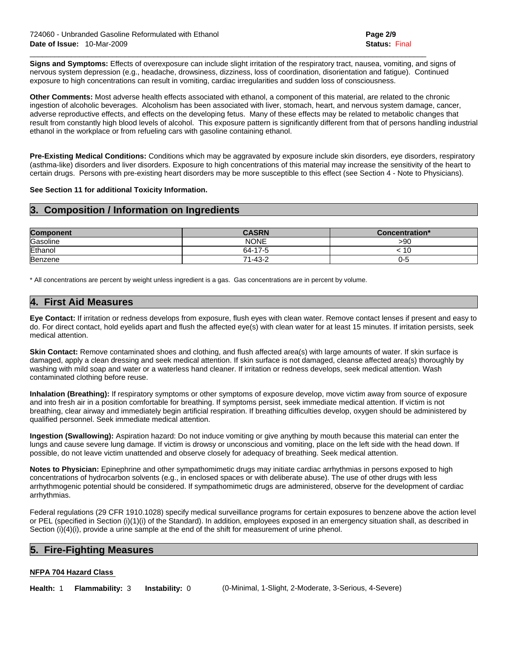**Signs and Symptoms:** Effects of overexposure can include slight irritation of the respiratory tract, nausea, vomiting, and signs of nervous system depression (e.g., headache, drowsiness, dizziness, loss of coordination, disorientation and fatigue). Continued exposure to high concentrations can result in vomiting, cardiac irregularities and sudden loss of consciousness.

 $\mathcal{L}_\mathcal{L} = \{ \mathcal{L}_\mathcal{L} = \{ \mathcal{L}_\mathcal{L} = \{ \mathcal{L}_\mathcal{L} = \{ \mathcal{L}_\mathcal{L} = \{ \mathcal{L}_\mathcal{L} = \{ \mathcal{L}_\mathcal{L} = \{ \mathcal{L}_\mathcal{L} = \{ \mathcal{L}_\mathcal{L} = \{ \mathcal{L}_\mathcal{L} = \{ \mathcal{L}_\mathcal{L} = \{ \mathcal{L}_\mathcal{L} = \{ \mathcal{L}_\mathcal{L} = \{ \mathcal{L}_\mathcal{L} = \{ \mathcal{L}_\mathcal{$ 

**Other Comments:** Most adverse health effects associated with ethanol, a component of this material, are related to the chronic ingestion of alcoholic beverages. Alcoholism has been associated with liver, stomach, heart, and nervous system damage, cancer, adverse reproductive effects, and effects on the developing fetus. Many of these effects may be related to metabolic changes that result from constantly high blood levels of alcohol. This exposure pattern is significantly different from that of persons handling industrial ethanol in the workplace or from refueling cars with gasoline containing ethanol.

**Pre-Existing Medical Conditions:** Conditions which may be aggravated by exposure include skin disorders, eye disorders, respiratory (asthma-like) disorders and liver disorders. Exposure to high concentrations of this material may increase the sensitivity of the heart to certain drugs. Persons with pre-existing heart disorders may be more susceptible to this effect (see Section 4 - Note to Physicians).

#### **See Section 11 for additional Toxicity Information.**

## **3. Composition / Information on Ingredients**

| <b>Component</b> | <b>CASRN</b>  | Concentration* |
|------------------|---------------|----------------|
| Gasoline         | <b>NONE</b>   | >90            |
| Ethanol          | 64-17-5       |                |
| Benzene          | $71 - 43 - 2$ | 0-5            |

\* All concentrations are percent by weight unless ingredient is a gas. Gas concentrations are in percent by volume.

## **4. First Aid Measures**

**Eye Contact:** If irritation or redness develops from exposure, flush eyes with clean water. Remove contact lenses if present and easy to do. For direct contact, hold eyelids apart and flush the affected eye(s) with clean water for at least 15 minutes. If irritation persists, seek medical attention.

Skin Contact: Remove contaminated shoes and clothing, and flush affected area(s) with large amounts of water. If skin surface is damaged, apply a clean dressing and seek medical attention. If skin surface is not damaged, cleanse affected area(s) thoroughly by washing with mild soap and water or a waterless hand cleaner. If irritation or redness develops, seek medical attention. Wash contaminated clothing before reuse.

**Inhalation (Breathing):** If respiratory symptoms or other symptoms of exposure develop, move victim away from source of exposure and into fresh air in a position comfortable for breathing. If symptoms persist, seek immediate medical attention. If victim is not breathing, clear airway and immediately begin artificial respiration. If breathing difficulties develop, oxygen should be administered by qualified personnel. Seek immediate medical attention.

**Ingestion (Swallowing):** Aspiration hazard: Do not induce vomiting or give anything by mouth because this material can enter the lungs and cause severe lung damage. If victim is drowsy or unconscious and vomiting, place on the left side with the head down. If possible, do not leave victim unattended and observe closely for adequacy of breathing. Seek medical attention.

**Notes to Physician:** Epinephrine and other sympathomimetic drugs may initiate cardiac arrhythmias in persons exposed to high concentrations of hydrocarbon solvents (e.g., in enclosed spaces or with deliberate abuse). The use of other drugs with less arrhythmogenic potential should be considered. If sympathomimetic drugs are administered, observe for the development of cardiac arrhythmias.

Federal regulations (29 CFR 1910.1028) specify medical surveillance programs for certain exposures to benzene above the action level or PEL (specified in Section (i)(1)(i) of the Standard). In addition, employees exposed in an emergency situation shall, as described in Section (i)(4)(i), provide a urine sample at the end of the shift for measurement of urine phenol.

## **5. Fire-Fighting Measures**

#### **NFPA 704 Hazard Class**

**Health:** 1 **Flammability:** 3 **Instability:** 0 (0-Minimal, 1-Slight, 2-Moderate, 3-Serious, 4-Severe)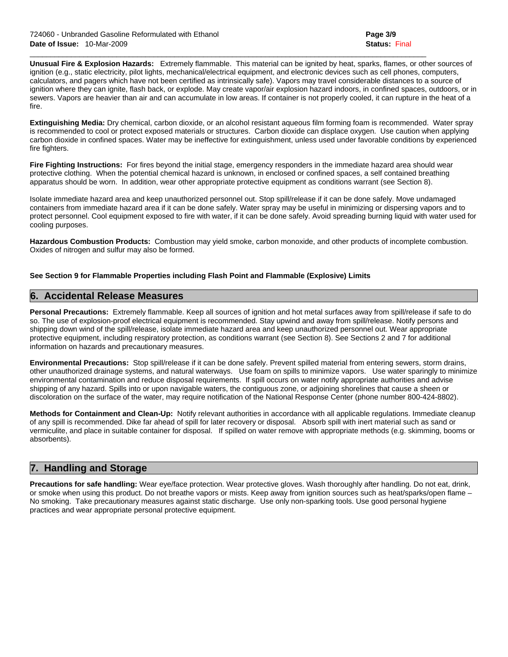**Unusual Fire & Explosion Hazards:** Extremely flammable. This material can be ignited by heat, sparks, flames, or other sources of ignition (e.g., static electricity, pilot lights, mechanical/electrical equipment, and electronic devices such as cell phones, computers, calculators, and pagers which have not been certified as intrinsically safe). Vapors may travel considerable distances to a source of ignition where they can ignite, flash back, or explode. May create vapor/air explosion hazard indoors, in confined spaces, outdoors, or in sewers. Vapors are heavier than air and can accumulate in low areas. If container is not properly cooled, it can rupture in the heat of a fire.

 $\mathcal{L}_\mathcal{L} = \{ \mathcal{L}_\mathcal{L} = \{ \mathcal{L}_\mathcal{L} = \{ \mathcal{L}_\mathcal{L} = \{ \mathcal{L}_\mathcal{L} = \{ \mathcal{L}_\mathcal{L} = \{ \mathcal{L}_\mathcal{L} = \{ \mathcal{L}_\mathcal{L} = \{ \mathcal{L}_\mathcal{L} = \{ \mathcal{L}_\mathcal{L} = \{ \mathcal{L}_\mathcal{L} = \{ \mathcal{L}_\mathcal{L} = \{ \mathcal{L}_\mathcal{L} = \{ \mathcal{L}_\mathcal{L} = \{ \mathcal{L}_\mathcal{$ 

**Extinguishing Media:** Dry chemical, carbon dioxide, or an alcohol resistant aqueous film forming foam is recommended. Water spray is recommended to cool or protect exposed materials or structures. Carbon dioxide can displace oxygen. Use caution when applying carbon dioxide in confined spaces. Water may be ineffective for extinguishment, unless used under favorable conditions by experienced fire fighters.

**Fire Fighting Instructions:** For fires beyond the initial stage, emergency responders in the immediate hazard area should wear protective clothing. When the potential chemical hazard is unknown, in enclosed or confined spaces, a self contained breathing apparatus should be worn. In addition, wear other appropriate protective equipment as conditions warrant (see Section 8).

Isolate immediate hazard area and keep unauthorized personnel out. Stop spill/release if it can be done safely. Move undamaged containers from immediate hazard area if it can be done safely. Water spray may be useful in minimizing or dispersing vapors and to protect personnel. Cool equipment exposed to fire with water, if it can be done safely. Avoid spreading burning liquid with water used for cooling purposes.

**Hazardous Combustion Products:** Combustion may yield smoke, carbon monoxide, and other products of incomplete combustion. Oxides of nitrogen and sulfur may also be formed.

### **See Section 9 for Flammable Properties including Flash Point and Flammable (Explosive) Limits**

## **6. Accidental Release Measures**

**Personal Precautions:** Extremely flammable. Keep all sources of ignition and hot metal surfaces away from spill/release if safe to do so. The use of explosion-proof electrical equipment is recommended. Stay upwind and away from spill/release. Notify persons and shipping down wind of the spill/release, isolate immediate hazard area and keep unauthorized personnel out. Wear appropriate protective equipment, including respiratory protection, as conditions warrant (see Section 8). See Sections 2 and 7 for additional information on hazards and precautionary measures.

**Environmental Precautions:** Stop spill/release if it can be done safely. Prevent spilled material from entering sewers, storm drains, other unauthorized drainage systems, and natural waterways. Use foam on spills to minimize vapors. Use water sparingly to minimize environmental contamination and reduce disposal requirements. If spill occurs on water notify appropriate authorities and advise shipping of any hazard. Spills into or upon navigable waters, the contiguous zone, or adjoining shorelines that cause a sheen or discoloration on the surface of the water, may require notification of the National Response Center (phone number 800-424-8802).

**Methods for Containment and Clean-Up:** Notify relevant authorities in accordance with all applicable regulations. Immediate cleanup of any spill is recommended. Dike far ahead of spill for later recovery or disposal. Absorb spill with inert material such as sand or vermiculite, and place in suitable container for disposal. If spilled on water remove with appropriate methods (e.g. skimming, booms or absorbents).

## **7. Handling and Storage**

**Precautions for safe handling:** Wear eye/face protection. Wear protective gloves. Wash thoroughly after handling. Do not eat, drink, or smoke when using this product. Do not breathe vapors or mists. Keep away from ignition sources such as heat/sparks/open flame – No smoking. Take precautionary measures against static discharge. Use only non-sparking tools. Use good personal hygiene practices and wear appropriate personal protective equipment.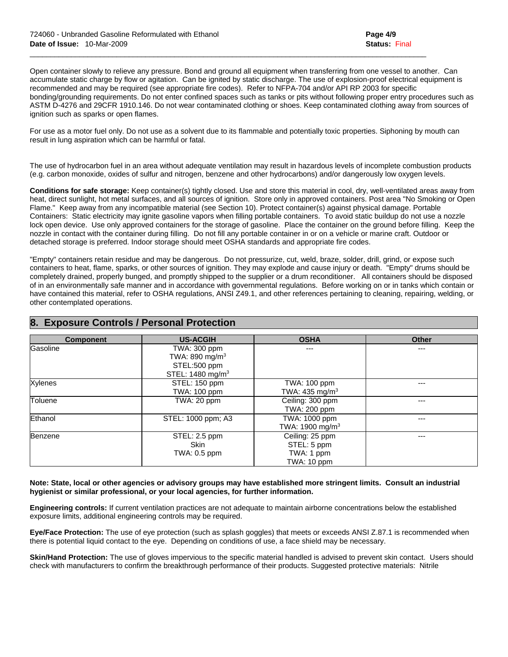Open container slowly to relieve any pressure. Bond and ground all equipment when transferring from one vessel to another. Can accumulate static charge by flow or agitation. Can be ignited by static discharge. The use of explosion-proof electrical equipment is recommended and may be required (see appropriate fire codes). Refer to NFPA-704 and/or API RP 2003 for specific bonding/grounding requirements. Do not enter confined spaces such as tanks or pits without following proper entry procedures such as ASTM D-4276 and 29CFR 1910.146. Do not wear contaminated clothing or shoes. Keep contaminated clothing away from sources of ignition such as sparks or open flames.

 $\mathcal{L}_\mathcal{L} = \{ \mathcal{L}_\mathcal{L} = \{ \mathcal{L}_\mathcal{L} = \{ \mathcal{L}_\mathcal{L} = \{ \mathcal{L}_\mathcal{L} = \{ \mathcal{L}_\mathcal{L} = \{ \mathcal{L}_\mathcal{L} = \{ \mathcal{L}_\mathcal{L} = \{ \mathcal{L}_\mathcal{L} = \{ \mathcal{L}_\mathcal{L} = \{ \mathcal{L}_\mathcal{L} = \{ \mathcal{L}_\mathcal{L} = \{ \mathcal{L}_\mathcal{L} = \{ \mathcal{L}_\mathcal{L} = \{ \mathcal{L}_\mathcal{$ 

For use as a motor fuel only. Do not use as a solvent due to its flammable and potentially toxic properties. Siphoning by mouth can result in lung aspiration which can be harmful or fatal.

The use of hydrocarbon fuel in an area without adequate ventilation may result in hazardous levels of incomplete combustion products (e.g. carbon monoxide, oxides of sulfur and nitrogen, benzene and other hydrocarbons) and/or dangerously low oxygen levels.

**Conditions for safe storage:** Keep container(s) tightly closed. Use and store this material in cool, dry, well-ventilated areas away from heat, direct sunlight, hot metal surfaces, and all sources of ignition. Store only in approved containers. Post area "No Smoking or Open Flame." Keep away from any incompatible material (see Section 10). Protect container(s) against physical damage. Portable Containers: Static electricity may ignite gasoline vapors when filling portable containers. To avoid static buildup do not use a nozzle lock open device. Use only approved containers for the storage of gasoline. Place the container on the ground before filling. Keep the nozzle in contact with the container during filling. Do not fill any portable container in or on a vehicle or marine craft. Outdoor or detached storage is preferred. Indoor storage should meet OSHA standards and appropriate fire codes.

"Empty" containers retain residue and may be dangerous. Do not pressurize, cut, weld, braze, solder, drill, grind, or expose such containers to heat, flame, sparks, or other sources of ignition. They may explode and cause injury or death. "Empty" drums should be completely drained, properly bunged, and promptly shipped to the supplier or a drum reconditioner. All containers should be disposed of in an environmentally safe manner and in accordance with governmental regulations. Before working on or in tanks which contain or have contained this material, refer to OSHA regulations, ANSI Z49.1, and other references pertaining to cleaning, repairing, welding, or other contemplated operations.

| <b>Component</b> | <b>US-ACGIH</b>                                                                            | <b>OSHA</b>                                                 | <b>Other</b> |
|------------------|--------------------------------------------------------------------------------------------|-------------------------------------------------------------|--------------|
| Gasoline         | TWA: 300 ppm<br>TWA: 890 mg/m <sup>3</sup><br>STEL:500 ppm<br>STEL: 1480 mg/m <sup>3</sup> | ---                                                         | ---          |
| Xylenes          | STEL: 150 ppm<br><b>TWA: 100 ppm</b>                                                       | TWA: 100 ppm<br>TWA: 435 mg/m <sup>3</sup>                  | ---          |
| Toluene          | TWA: 20 ppm                                                                                | Ceiling: 300 ppm<br>TWA: 200 ppm                            | ---          |
| Ethanol          | STEL: 1000 ppm; A3                                                                         | TWA: 1000 ppm<br>TWA: 1900 mg/m <sup>3</sup>                | ---          |
| Benzene          | STEL: 2.5 ppm<br><b>Skin</b><br>TWA: 0.5 ppm                                               | Ceiling: 25 ppm<br>STEL: 5 ppm<br>TWA: 1 ppm<br>TWA: 10 ppm | ---          |

## **8. Exposure Controls / Personal Protection**

#### **Note: State, local or other agencies or advisory groups may have established more stringent limits. Consult an industrial hygienist or similar professional, or your local agencies, for further information.**

**Engineering controls:** If current ventilation practices are not adequate to maintain airborne concentrations below the established exposure limits, additional engineering controls may be required.

**Eye/Face Protection:** The use of eye protection (such as splash goggles) that meets or exceeds ANSI Z.87.1 is recommended when there is potential liquid contact to the eye. Depending on conditions of use, a face shield may be necessary.

**Skin/Hand Protection:** The use of gloves impervious to the specific material handled is advised to prevent skin contact. Users should check with manufacturers to confirm the breakthrough performance of their products. Suggested protective materials: Nitrile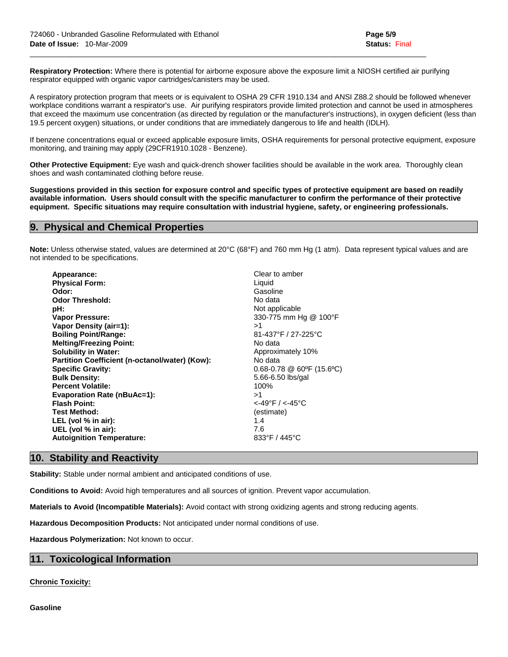**Respiratory Protection:** Where there is potential for airborne exposure above the exposure limit a NIOSH certified air purifying respirator equipped with organic vapor cartridges/canisters may be used.

 $\mathcal{L}_\mathcal{L} = \{ \mathcal{L}_\mathcal{L} = \{ \mathcal{L}_\mathcal{L} = \{ \mathcal{L}_\mathcal{L} = \{ \mathcal{L}_\mathcal{L} = \{ \mathcal{L}_\mathcal{L} = \{ \mathcal{L}_\mathcal{L} = \{ \mathcal{L}_\mathcal{L} = \{ \mathcal{L}_\mathcal{L} = \{ \mathcal{L}_\mathcal{L} = \{ \mathcal{L}_\mathcal{L} = \{ \mathcal{L}_\mathcal{L} = \{ \mathcal{L}_\mathcal{L} = \{ \mathcal{L}_\mathcal{L} = \{ \mathcal{L}_\mathcal{$ 

A respiratory protection program that meets or is equivalent to OSHA 29 CFR 1910.134 and ANSI Z88.2 should be followed whenever workplace conditions warrant a respirator's use. Air purifying respirators provide limited protection and cannot be used in atmospheres that exceed the maximum use concentration (as directed by regulation or the manufacturer's instructions), in oxygen deficient (less than 19.5 percent oxygen) situations, or under conditions that are immediately dangerous to life and health (IDLH).

If benzene concentrations equal or exceed applicable exposure limits, OSHA requirements for personal protective equipment, exposure monitoring, and training may apply (29CFR1910.1028 - Benzene).

**Other Protective Equipment:** Eye wash and quick-drench shower facilities should be available in the work area. Thoroughly clean shoes and wash contaminated clothing before reuse.

**Suggestions provided in this section for exposure control and specific types of protective equipment are based on readily available information. Users should consult with the specific manufacturer to confirm the performance of their protective equipment. Specific situations may require consultation with industrial hygiene, safety, or engineering professionals.** 

## **9. Physical and Chemical Properties**

**Note:** Unless otherwise stated, values are determined at 20°C (68°F) and 760 mm Hg (1 atm). Data represent typical values and are not intended to be specifications.

| Appearance:                                    | Clear to amber                |
|------------------------------------------------|-------------------------------|
| <b>Physical Form:</b>                          | Liquid                        |
| Odor:                                          | Gasoline                      |
| <b>Odor Threshold:</b>                         | No data                       |
| pH:                                            | Not applicable                |
| Vapor Pressure:                                | 330-775 mm Hg @ 100°F         |
| Vapor Density (air=1):                         | >1                            |
| <b>Boiling Point/Range:</b>                    | 81-437°F / 27-225°C           |
| <b>Melting/Freezing Point:</b>                 | No data                       |
| <b>Solubility in Water:</b>                    | Approximately 10%             |
| Partition Coefficient (n-octanol/water) (Kow): | No data                       |
| <b>Specific Gravity:</b>                       | $0.68 - 0.78$ @ 60°F (15.6°C) |
| <b>Bulk Density:</b>                           | 5.66-6.50 lbs/gal             |
| <b>Percent Volatile:</b>                       | 100%                          |
| <b>Evaporation Rate (nBuAc=1):</b>             | >1                            |
| <b>Flash Point:</b>                            | $<$ -49°F / $<$ -45°C         |
| <b>Test Method:</b>                            | (estimate)                    |
| LEL (vol % in air):                            | 1.4                           |
| UEL (vol % in air):                            | 7.6                           |
| <b>Autoignition Temperature:</b>               | 833°F / 445°C                 |
|                                                |                               |

## **10. Stability and Reactivity**

**Stability:** Stable under normal ambient and anticipated conditions of use.

**Conditions to Avoid:** Avoid high temperatures and all sources of ignition. Prevent vapor accumulation.

**Materials to Avoid (Incompatible Materials):** Avoid contact with strong oxidizing agents and strong reducing agents.

**Hazardous Decomposition Products:** Not anticipated under normal conditions of use.

**Hazardous Polymerization:** Not known to occur.

## **11. Toxicological Information**

**Chronic Toxicity:**

**Gasoline**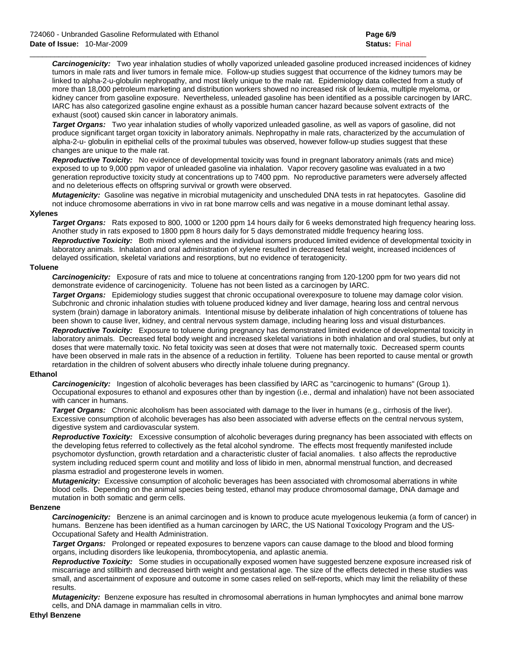*Carcinogenicity:* Two year inhalation studies of wholly vaporized unleaded gasoline produced increased incidences of kidney tumors in male rats and liver tumors in female mice. Follow-up studies suggest that occurrence of the kidney tumors may be linked to alpha-2-u-globulin nephropathy, and most likely unique to the male rat. Epidemiology data collected from a study of more than 18,000 petroleum marketing and distribution workers showed no increased risk of leukemia, multiple myeloma, or kidney cancer from gasoline exposure. Nevertheless, unleaded gasoline has been identified as a possible carcinogen by IARC. IARC has also categorized gasoline engine exhaust as a possible human cancer hazard because solvent extracts of the exhaust (soot) caused skin cancer in laboratory animals.

 $\mathcal{L}_\mathcal{L} = \{ \mathcal{L}_\mathcal{L} = \{ \mathcal{L}_\mathcal{L} = \{ \mathcal{L}_\mathcal{L} = \{ \mathcal{L}_\mathcal{L} = \{ \mathcal{L}_\mathcal{L} = \{ \mathcal{L}_\mathcal{L} = \{ \mathcal{L}_\mathcal{L} = \{ \mathcal{L}_\mathcal{L} = \{ \mathcal{L}_\mathcal{L} = \{ \mathcal{L}_\mathcal{L} = \{ \mathcal{L}_\mathcal{L} = \{ \mathcal{L}_\mathcal{L} = \{ \mathcal{L}_\mathcal{L} = \{ \mathcal{L}_\mathcal{$ 

*Target Organs:* Two year inhalation studies of wholly vaporized unleaded gasoline, as well as vapors of gasoline, did not produce significant target organ toxicity in laboratory animals. Nephropathy in male rats, characterized by the accumulation of alpha-2-u- globulin in epithelial cells of the proximal tubules was observed, however follow-up studies suggest that these changes are unique to the male rat.

 *Reproductive Toxicity:* No evidence of developmental toxicity was found in pregnant laboratory animals (rats and mice) exposed to up to 9,000 ppm vapor of unleaded gasoline via inhalation. Vapor recovery gasoline was evaluated in a two generation reproductive toxicity study at concentrations up to 7400 ppm. No reproductive parameters were adversely affected and no deleterious effects on offspring survival or growth were observed.

 *Mutagenicity:* Gasoline was negative in microbial mutagenicity and unscheduled DNA tests in rat hepatocytes. Gasoline did not induce chromosome aberrations in vivo in rat bone marrow cells and was negative in a mouse dominant lethal assay.

#### **Xylenes**

*Target Organs:* Rats exposed to 800, 1000 or 1200 ppm 14 hours daily for 6 weeks demonstrated high frequency hearing loss. Another study in rats exposed to 1800 ppm 8 hours daily for 5 days demonstrated middle frequency hearing loss.  *Reproductive Toxicity:* Both mixed xylenes and the individual isomers produced limited evidence of developmental toxicity in laboratory animals. Inhalation and oral administration of xylene resulted in decreased fetal weight, increased incidences of delayed ossification, skeletal variations and resorptions, but no evidence of teratogenicity.

#### **Toluene**

*Carcinogenicity:* Exposure of rats and mice to toluene at concentrations ranging from 120-1200 ppm for two years did not demonstrate evidence of carcinogenicity. Toluene has not been listed as a carcinogen by IARC.

 *Target Organs:* Epidemiology studies suggest that chronic occupational overexposure to toluene may damage color vision. Subchronic and chronic inhalation studies with toluene produced kidney and liver damage, hearing loss and central nervous system (brain) damage in laboratory animals. Intentional misuse by deliberate inhalation of high concentrations of toluene has been shown to cause liver, kidney, and central nervous system damage, including hearing loss and visual disturbances.  *Reproductive Toxicity:* Exposure to toluene during pregnancy has demonstrated limited evidence of developmental toxicity in laboratory animals. Decreased fetal body weight and increased skeletal variations in both inhalation and oral studies, but only at doses that were maternally toxic. No fetal toxicity was seen at doses that were not maternally toxic. Decreased sperm counts have been observed in male rats in the absence of a reduction in fertility. Toluene has been reported to cause mental or growth retardation in the children of solvent abusers who directly inhale toluene during pregnancy.

#### **Ethanol**

*Carcinogenicity:* Ingestion of alcoholic beverages has been classified by IARC as "carcinogenic to humans" (Group 1). Occupational exposures to ethanol and exposures other than by ingestion (i.e., dermal and inhalation) have not been associated with cancer in humans.

 *Target Organs:* Chronic alcoholism has been associated with damage to the liver in humans (e.g., cirrhosis of the liver). Excessive consumption of alcoholic beverages has also been associated with adverse effects on the central nervous system, digestive system and cardiovascular system.

 *Reproductive Toxicity:* Excessive consumption of alcoholic beverages during pregnancy has been associated with effects on the developing fetus referred to collectively as the fetal alcohol syndrome. The effects most frequently manifested include psychomotor dysfunction, growth retardation and a characteristic cluster of facial anomalies. t also affects the reproductive system including reduced sperm count and motility and loss of libido in men, abnormal menstrual function, and decreased plasma estradiol and progesterone levels in women.

 *Mutagenicity:* Excessive consumption of alcoholic beverages has been associated with chromosomal aberrations in white blood cells. Depending on the animal species being tested, ethanol may produce chromosomal damage, DNA damage and mutation in both somatic and germ cells.

#### **Benzene**

 *Carcinogenicity:* Benzene is an animal carcinogen and is known to produce acute myelogenous leukemia (a form of cancer) in humans. Benzene has been identified as a human carcinogen by IARC, the US National Toxicology Program and the US-Occupational Safety and Health Administration.

 *Target Organs:* Prolonged or repeated exposures to benzene vapors can cause damage to the blood and blood forming organs, including disorders like leukopenia, thrombocytopenia, and aplastic anemia.

 *Reproductive Toxicity:* Some studies in occupationally exposed women have suggested benzene exposure increased risk of miscarriage and stillbirth and decreased birth weight and gestational age. The size of the effects detected in these studies was small, and ascertainment of exposure and outcome in some cases relied on self-reports, which may limit the reliability of these results.

 *Mutagenicity:* Benzene exposure has resulted in chromosomal aberrations in human lymphocytes and animal bone marrow cells, and DNA damage in mammalian cells in vitro.

#### **Ethyl Benzene**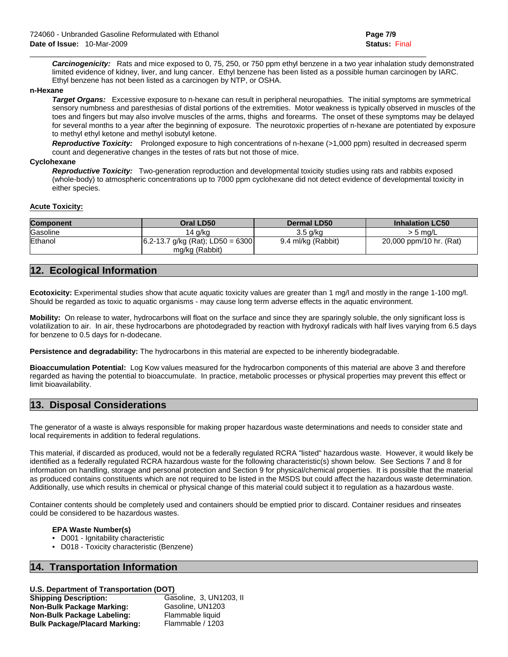*Carcinogenicity:* Rats and mice exposed to 0, 75, 250, or 750 ppm ethyl benzene in a two year inhalation study demonstrated limited evidence of kidney, liver, and lung cancer. Ethyl benzene has been listed as a possible human carcinogen by IARC. Ethyl benzene has not been listed as a carcinogen by NTP, or OSHA.

 $\mathcal{L}_\mathcal{L} = \{ \mathcal{L}_\mathcal{L} = \{ \mathcal{L}_\mathcal{L} = \{ \mathcal{L}_\mathcal{L} = \{ \mathcal{L}_\mathcal{L} = \{ \mathcal{L}_\mathcal{L} = \{ \mathcal{L}_\mathcal{L} = \{ \mathcal{L}_\mathcal{L} = \{ \mathcal{L}_\mathcal{L} = \{ \mathcal{L}_\mathcal{L} = \{ \mathcal{L}_\mathcal{L} = \{ \mathcal{L}_\mathcal{L} = \{ \mathcal{L}_\mathcal{L} = \{ \mathcal{L}_\mathcal{L} = \{ \mathcal{L}_\mathcal{$ 

#### **n-Hexane**

 *Target Organs:* Excessive exposure to n-hexane can result in peripheral neuropathies. The initial symptoms are symmetrical sensory numbness and paresthesias of distal portions of the extremities. Motor weakness is typically observed in muscles of the toes and fingers but may also involve muscles of the arms, thighs and forearms. The onset of these symptoms may be delayed for several months to a year after the beginning of exposure. The neurotoxic properties of n-hexane are potentiated by exposure to methyl ethyl ketone and methyl isobutyl ketone.

 *Reproductive Toxicity:* Prolonged exposure to high concentrations of n-hexane (>1,000 ppm) resulted in decreased sperm count and degenerative changes in the testes of rats but not those of mice.

#### **Cyclohexane**

 *Reproductive Toxicity:* Two-generation reproduction and developmental toxicity studies using rats and rabbits exposed (whole-body) to atmospheric concentrations up to 7000 ppm cyclohexane did not detect evidence of developmental toxicity in either species.

#### **Acute Toxicity:**

| Component | Oral LD50                           | Dermal LD50        | <b>Inhalation LC50</b>  |
|-----------|-------------------------------------|--------------------|-------------------------|
| Gasoline  | 14 a/ka                             | $3.5$ g/kg         | $>$ 5 ma/L              |
| Ethanol   | $ 6.2-13.7$ g/kg (Rat); LD50 = 6300 | 9.4 ml/kg (Rabbit) | 20,000 ppm/10 hr. (Rat) |
|           | mg/kg (Rabbit)                      |                    |                         |

## **12. Ecological Information**

**Ecotoxicity:** Experimental studies show that acute aquatic toxicity values are greater than 1 mg/l and mostly in the range 1-100 mg/l. Should be regarded as toxic to aquatic organisms - may cause long term adverse effects in the aquatic environment.

**Mobility:** On release to water, hydrocarbons will float on the surface and since they are sparingly soluble, the only significant loss is volatilization to air. In air, these hydrocarbons are photodegraded by reaction with hydroxyl radicals with half lives varying from 6.5 days for benzene to 0.5 days for n-dodecane.

**Persistence and degradability:** The hydrocarbons in this material are expected to be inherently biodegradable.

**Bioaccumulation Potential:** Log Kow values measured for the hydrocarbon components of this material are above 3 and therefore regarded as having the potential to bioaccumulate. In practice, metabolic processes or physical properties may prevent this effect or limit bioavailability.

## **13. Disposal Considerations**

The generator of a waste is always responsible for making proper hazardous waste determinations and needs to consider state and local requirements in addition to federal regulations.

This material, if discarded as produced, would not be a federally regulated RCRA "listed" hazardous waste. However, it would likely be identified as a federally regulated RCRA hazardous waste for the following characteristic(s) shown below. See Sections 7 and 8 for information on handling, storage and personal protection and Section 9 for physical/chemical properties. It is possible that the material as produced contains constituents which are not required to be listed in the MSDS but could affect the hazardous waste determination. Additionally, use which results in chemical or physical change of this material could subject it to regulation as a hazardous waste.

Container contents should be completely used and containers should be emptied prior to discard. Container residues and rinseates could be considered to be hazardous wastes.

#### **EPA Waste Number(s)**

- D001 Ignitability characteristic
- D018 Toxicity characteristic (Benzene)

## **14. Transportation Information**

## **U.S. Department of Transportation (DOT)**

**Shipping Description:** Gasoline, 3, UN1203, II **Non-Bulk Package Marking:** Gasoline, UN1203 **Non-Bulk Package Labeling:** Flammable liquid **Bulk Package/Placard Marking:** Flammable / 1203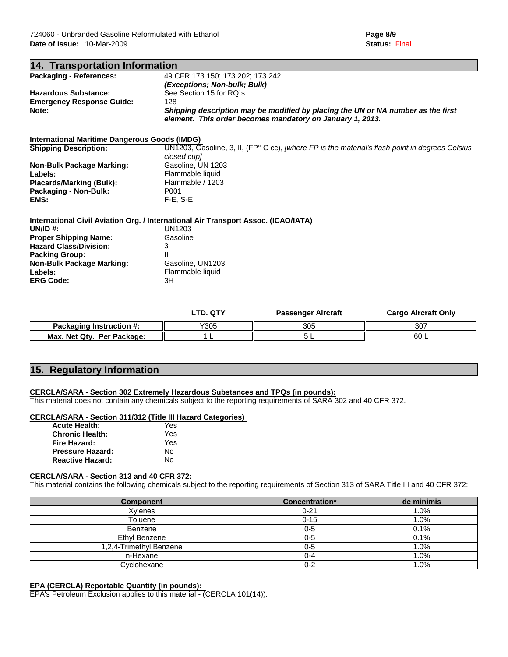| 14. Transportation Information                                                     |                                  |                                                                                                                                               |                            |
|------------------------------------------------------------------------------------|----------------------------------|-----------------------------------------------------------------------------------------------------------------------------------------------|----------------------------|
| <b>Packaging - References:</b>                                                     | 49 CFR 173.150; 173.202; 173.242 |                                                                                                                                               |                            |
|                                                                                    | (Exceptions; Non-bulk; Bulk)     |                                                                                                                                               |                            |
| <b>Hazardous Substance:</b>                                                        | See Section 15 for RQ's          |                                                                                                                                               |                            |
| <b>Emergency Response Guide:</b>                                                   | 128                              |                                                                                                                                               |                            |
| Note:                                                                              |                                  | Shipping description may be modified by placing the UN or NA number as the first<br>element. This order becomes mandatory on January 1, 2013. |                            |
| International Maritime Dangerous Goods (IMDG)                                      |                                  |                                                                                                                                               |                            |
| <b>Shipping Description:</b>                                                       | closed cupl                      | UN1203, Gasoline, 3, II, (FP $^{\circ}$ C cc), [where FP is the material's flash point in degrees Celsius                                     |                            |
| <b>Non-Bulk Package Marking:</b>                                                   | Gasoline, UN 1203                |                                                                                                                                               |                            |
| Labels:                                                                            | Flammable liquid                 |                                                                                                                                               |                            |
| <b>Placards/Marking (Bulk):</b>                                                    | Flammable / 1203                 |                                                                                                                                               |                            |
| Packaging - Non-Bulk:                                                              | P <sub>001</sub>                 |                                                                                                                                               |                            |
| EMS:                                                                               | $F-E$ , $S-E$                    |                                                                                                                                               |                            |
| International Civil Aviation Org. / International Air Transport Assoc. (ICAO/IATA) |                                  |                                                                                                                                               |                            |
| UN/ID $#$ :                                                                        | UN1203                           |                                                                                                                                               |                            |
| <b>Proper Shipping Name:</b>                                                       | Gasoline                         |                                                                                                                                               |                            |
| <b>Hazard Class/Division:</b>                                                      | 3                                |                                                                                                                                               |                            |
| <b>Packing Group:</b>                                                              |                                  |                                                                                                                                               |                            |
| <b>Non-Bulk Package Marking:</b>                                                   | Gasoline, UN1203                 |                                                                                                                                               |                            |
| Labels:                                                                            | Flammable liquid                 |                                                                                                                                               |                            |
| <b>ERG Code:</b>                                                                   | 3H                               |                                                                                                                                               |                            |
|                                                                                    | <b>LTD. QTY</b>                  | <b>Passenger Aircraft</b>                                                                                                                     | <b>Cargo Aircraft Only</b> |

 $\mathcal{L}_\mathcal{L} = \{ \mathcal{L}_\mathcal{L} = \{ \mathcal{L}_\mathcal{L} = \{ \mathcal{L}_\mathcal{L} = \{ \mathcal{L}_\mathcal{L} = \{ \mathcal{L}_\mathcal{L} = \{ \mathcal{L}_\mathcal{L} = \{ \mathcal{L}_\mathcal{L} = \{ \mathcal{L}_\mathcal{L} = \{ \mathcal{L}_\mathcal{L} = \{ \mathcal{L}_\mathcal{L} = \{ \mathcal{L}_\mathcal{L} = \{ \mathcal{L}_\mathcal{L} = \{ \mathcal{L}_\mathcal{L} = \{ \mathcal{L}_\mathcal{$ 

|                                      | _____ | - <del>- - -</del> - - - - - - - - - - - - - | ____________________ |
|--------------------------------------|-------|----------------------------------------------|----------------------|
| Packaging<br>Instruction $\#$ :      | Y305  | 305                                          | 207<br>υU            |
| Max. Net Qty.<br><b>Per Package:</b> |       | ີ                                            | 60                   |

## **15. Regulatory Information**

### **CERCLA/SARA - Section 302 Extremely Hazardous Substances and TPQs (in pounds):**

This material does not contain any chemicals subject to the reporting requirements of SARA 302 and 40 CFR 372.

#### **CERCLA/SARA - Section 311/312 (Title III Hazard Categories)**

| <b>Acute Health:</b>    | Yes |
|-------------------------|-----|
| <b>Chronic Health:</b>  | Yes |
| <b>Fire Hazard:</b>     | Yes |
| <b>Pressure Hazard:</b> | Nο  |
| <b>Reactive Hazard:</b> | Nο  |

#### **CERCLA/SARA - Section 313 and 40 CFR 372:**

This material contains the following chemicals subject to the reporting requirements of Section 313 of SARA Title III and 40 CFR 372:

| <b>Component</b>        | Concentration* | de minimis |
|-------------------------|----------------|------------|
| Xylenes                 | $0 - 21$       | 1.0%       |
| Toluene                 | $0 - 15$       | 1.0%       |
| Benzene                 | $0 - 5$        | 0.1%       |
| Ethyl Benzene           | $0 - 5$        | 0.1%       |
| 1,2,4-Trimethyl Benzene | $0-5$          | 1.0%       |
| n-Hexane                | $0 - 4$        | 1.0%       |
| Cyclohexane             | $0 - 2$        | $.0\%$     |

### **EPA (CERCLA) Reportable Quantity (in pounds):**

EPA's Petroleum Exclusion applies to this material - (CERCLA 101(14)).